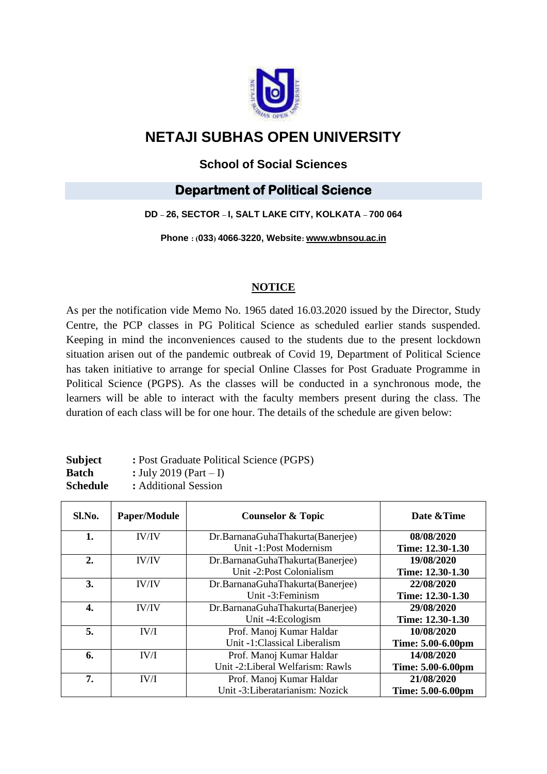

# **NETAJI SUBHAS OPEN UNIVERSITY**

### **School of Social Sciences**

## **Department of Political Science**

#### **DD – 26, SECTOR – I, SALT LAKE CITY, KOLKATA – 700 064**

**Phone : (033) 4066-3220, Website: www.[wbnsou](http://www.wbnsou.ac.in/).ac.in**

#### **NOTICE**

As per the notification vide Memo No. 1965 dated 16.03.2020 issued by the Director, Study Centre, the PCP classes in PG Political Science as scheduled earlier stands suspended. Keeping in mind the inconveniences caused to the students due to the present lockdown situation arisen out of the pandemic outbreak of Covid 19, Department of Political Science has taken initiative to arrange for special Online Classes for Post Graduate Programme in Political Science (PGPS). As the classes will be conducted in a synchronous mode, the learners will be able to interact with the faculty members present during the class. The duration of each class will be for one hour. The details of the schedule are given below:

| <b>Subject</b>  | : Post Graduate Political Science (PGPS) |
|-----------------|------------------------------------------|
| Batch           | : July 2019 (Part $- I$ )                |
| <b>Schedule</b> | : Additional Session                     |

| Sl.No. | <b>Paper/Module</b> | <b>Counselor &amp; Topic</b>     | Date & Time       |
|--------|---------------------|----------------------------------|-------------------|
| 1.     | IV/IV               | Dr.BarnanaGuhaThakurta(Banerjee) | 08/08/2020        |
|        |                     | Unit -1:Post Modernism           | Time: 12.30-1.30  |
| 2.     | IV/IV               | Dr.BarnanaGuhaThakurta(Banerjee) | 19/08/2020        |
|        |                     | Unit -2:Post Colonialism         | Time: 12.30-1.30  |
| 3.     | IV/IV               | Dr.BarnanaGuhaThakurta(Banerjee) | 22/08/2020        |
|        |                     | Unit -3: Feminism                | Time: 12.30-1.30  |
| 4.     | IV/IV               | Dr.BarnanaGuhaThakurta(Banerjee) | 29/08/2020        |
|        |                     | Unit -4:Ecologism                | Time: 12.30-1.30  |
| 5.     | IV/I                | Prof. Manoj Kumar Haldar         | 10/08/2020        |
|        |                     | Unit -1:Classical Liberalism     | Time: 5.00-6.00pm |
| 6.     | IV/I                | Prof. Manoj Kumar Haldar         | 14/08/2020        |
|        |                     | Unit -2:Liberal Welfarism: Rawls | Time: 5.00-6.00pm |
| 7.     | IV/I                | Prof. Manoj Kumar Haldar         | 21/08/2020        |
|        |                     | Unit -3: Liberatarianism: Nozick | Time: 5.00-6.00pm |